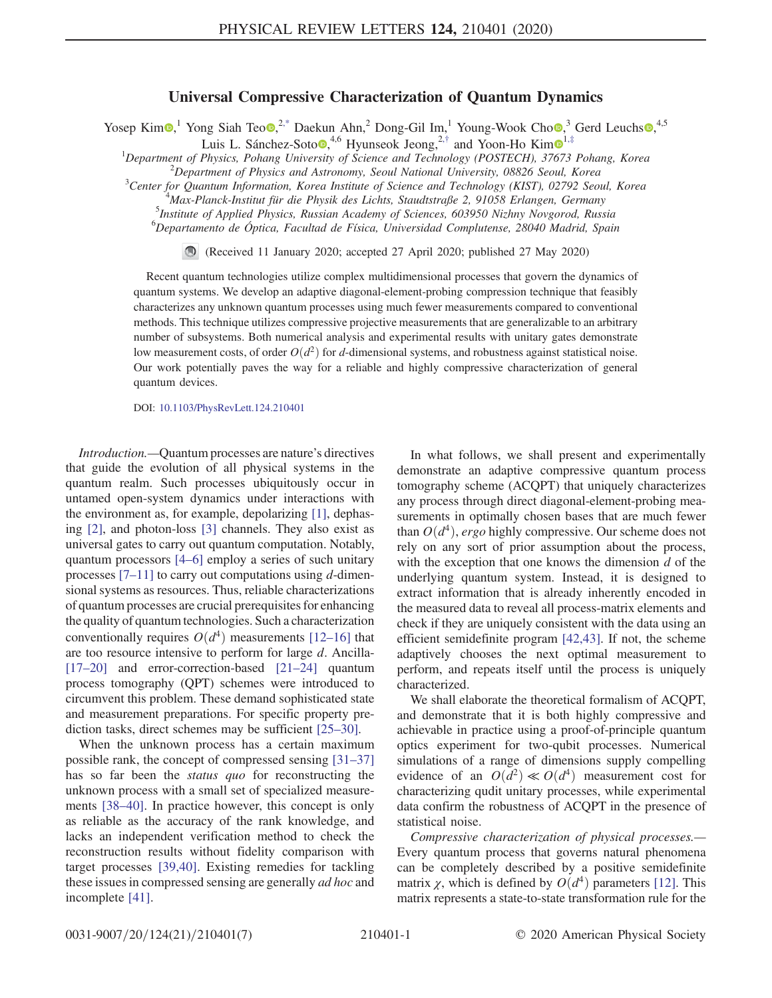## Universal Compressive Characterization of Quantum Dynamics

<span id="page-0-1"></span><span id="page-0-0"></span>Yosep Kim $\odot$ ,<sup>1</sup> Yong Siah Teo $\odot$ ,<sup>2[,\\*](#page-4-0)</sup> Daekun Ahn,<sup>2</sup> Dong-Gil Im,<sup>1</sup> Young-Wook Cho $\odot$ ,<sup>3</sup> Gerd Leuchs $\odot$ ,<sup>4,5</sup>

Luis L. Sánchez-Soto $\bullet$ ,<sup>4,6</sup> Hyunseok Jeong,<sup>2,[†](#page-4-1)</sup> and Yoon-Ho Kim $\bullet$ <sup>[1](https://orcid.org/0000-0002-1424-3359),[‡](#page-4-2)</sup>

<sup>1</sup>Department of Physics, Pohang University of Science and Technology (POSTECH), 37673 Pohang, Korea<sup>2</sup> Propertment of Physics and Astronomy, Searl National University 08826 Searl Korea  $^{2}$ Department of Physics and Astronomy, Seoul National University, 08826 Seoul, Korea

 ${}^{3}$ Center for Quantum Information, Korea Institute of Science and Technology (KIST), 02792 Seoul, Korea Max-Planck-Institut für die Physik des Lichts, Staudtstraße 2, 91058 Erlangen, Germany <sup>5</sup>

<sup>5</sup>Institute of Applied Physics, Russian Academy of Sciences, 603950 Nizhny Novgorod, Russia

6 Departamento de Óptica, Facultad de Física, Universidad Complutense, 28040 Madrid, Spain

(Received 11 January 2020; accepted 27 April 2020; published 27 May 2020)

Recent quantum technologies utilize complex multidimensional processes that govern the dynamics of quantum systems. We develop an adaptive diagonal-element-probing compression technique that feasibly characterizes any unknown quantum processes using much fewer measurements compared to conventional methods. This technique utilizes compressive projective measurements that are generalizable to an arbitrary number of subsystems. Both numerical analysis and experimental results with unitary gates demonstrate low measurement costs, of order  $O(d^2)$  for d-dimensional systems, and robustness against statistical noise. Our work potentially paves the way for a reliable and highly compressive characterization of general quantum devices.

DOI: [10.1103/PhysRevLett.124.210401](https://doi.org/10.1103/PhysRevLett.124.210401)

Introduction.—Quantum processes are nature's directives that guide the evolution of all physical systems in the quantum realm. Such processes ubiquitously occur in untamed open-system dynamics under interactions with the environment as, for example, depolarizing [\[1\]](#page-4-3), dephasing [\[2\]](#page-4-4), and photon-loss [\[3\]](#page-4-5) channels. They also exist as universal gates to carry out quantum computation. Notably, quantum processors [4–[6\]](#page-4-6) employ a series of such unitary processes  $[7-11]$  $[7-11]$  to carry out computations using d-dimensional systems as resources. Thus, reliable characterizations of quantum processes are crucial prerequisites for enhancing the quality of quantum technologies. Such a characterization conventionally requires  $O(d^4)$  measurements [\[12](#page-4-8)–16] that are too resource intensive to perform for large d. Ancilla- [\[17](#page-4-9)–20] and error-correction-based [21–[24\]](#page-5-0) quantum process tomography (QPT) schemes were introduced to circumvent this problem. These demand sophisticated state and measurement preparations. For specific property pre-diction tasks, direct schemes may be sufficient [\[25](#page-5-1)–30].

When the unknown process has a certain maximum possible rank, the concept of compressed sensing [31–[37\]](#page-5-2) has so far been the *status quo* for reconstructing the unknown process with a small set of specialized measurements [\[38](#page-5-3)–40]. In practice however, this concept is only as reliable as the accuracy of the rank knowledge, and lacks an independent verification method to check the reconstruction results without fidelity comparison with target processes [\[39,40\]](#page-5-4). Existing remedies for tackling these issues in compressed sensing are generally *ad hoc* and incomplete [\[41\]](#page-5-5).

In what follows, we shall present and experimentally demonstrate an adaptive compressive quantum process tomography scheme (ACQPT) that uniquely characterizes any process through direct diagonal-element-probing measurements in optimally chosen bases that are much fewer than  $O(d^4)$ , ergo highly compressive. Our scheme does not rely on any sort of prior assumption about the process, with the exception that one knows the dimension  $d$  of the underlying quantum system. Instead, it is designed to extract information that is already inherently encoded in the measured data to reveal all process-matrix elements and check if they are uniquely consistent with the data using an efficient semidefinite program [\[42,43\]](#page-5-6). If not, the scheme adaptively chooses the next optimal measurement to perform, and repeats itself until the process is uniquely characterized.

We shall elaborate the theoretical formalism of ACQPT, and demonstrate that it is both highly compressive and achievable in practice using a proof-of-principle quantum optics experiment for two-qubit processes. Numerical simulations of a range of dimensions supply compelling evidence of an  $O(d^2) \ll O(d^4)$  measurement cost for characterizing qudit unitary processes, while experimental data confirm the robustness of ACQPT in the presence of statistical noise.

Compressive characterization of physical processes.— Every quantum process that governs natural phenomena can be completely described by a positive semidefinite matrix  $\chi$ , which is defined by  $O(d^4)$  parameters [\[12\].](#page-4-8) This matrix represents a state-to-state transformation rule for the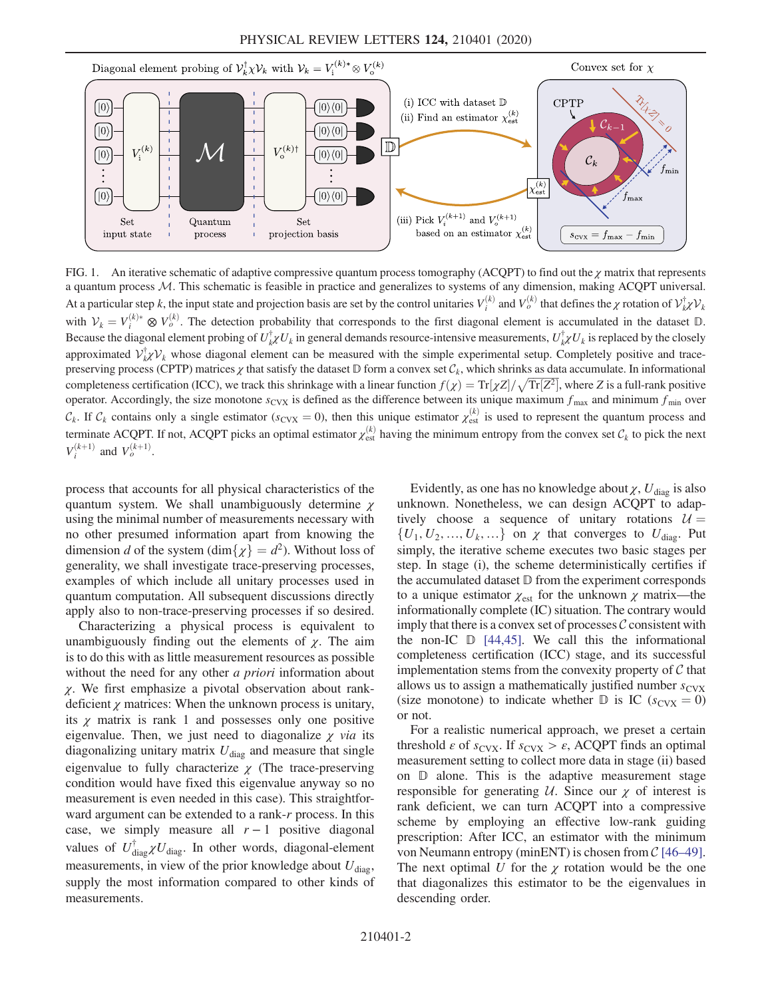<span id="page-1-0"></span>

FIG. 1. An iterative schematic of adaptive compressive quantum process tomography (ACQPT) to find out the  $\chi$  matrix that represents a quantum process M. This schematic is feasible in practice and generalizes to systems of any dimension, making ACQPT universal. At a particular step k, the input state and projection basis are set by the control unitaries  $V_i^{(k)}$  and  $V_o^{(k)}$  that defines the  $\chi$  rotation of  $\mathcal{V}_{k\chi}^{\dagger} \mathcal{V}_{k\chi}$ with  $V_k = V_i^{(k)*} \otimes V_o^{(k)}$ . The detection probability that corresponds to the first diagonal element is accumulated in the dataset  $\mathbb{D}$ . Because the diagonal element probing of  $U_k^{\dagger} \chi U_k$  in general demands resource-intensive measurements,  $U_k^{\dagger} \chi U_k$  is replaced by the closely approximated  $\mathcal{V}_{k}^{\dagger} \mathcal{V}_{k}$  whose diagonal element can be measured with the simple experimental setup. Completely positive and tracepreserving process (CPTP) matrices  $\chi$  that satisfy the dataset D form a convex set  $\mathcal{C}_k$ , which shrinks as data accumulate. In informational preserving process (CPTP) matrices  $\chi$  that satisfy the dataset  $\mathbb D$  form a convex set  $C_k$ , which shrinks as data accumulate. In informational<br>completeness certification (ICC), we track this shrinkage with a linear fu operator. Accordingly, the size monotone  $s_{\text{CVX}}$  is defined as the difference between its unique maximum  $f_{\text{max}}$  and minimum  $f_{\text{min}}$  over  $\mathcal{C}_k$ . If  $\mathcal{C}_k$  contains only a single estimator ( $s_{\text{cvx}} = 0$ ), then this unique estimator  $\chi_{\text{est}}^{(k)}$  is used to represent the quantum process and terminate ACQPT. If not, ACQPT picks an optimal estimator  $\chi_{est}^{(k)}$  having the minimum entropy from the convex set  $C_k$  to pick the next  $V_i^{(k+1)}$  and  $V_o^{(k+1)}$ .

process that accounts for all physical characteristics of the quantum system. We shall unambiguously determine  $\chi$ using the minimal number of measurements necessary with no other presumed information apart from knowing the dimension d of the system (dim $\{\chi\} = d^2$ ). Without loss of generality, we shall investigate trace-preserving processes, examples of which include all unitary processes used in quantum computation. All subsequent discussions directly apply also to non-trace-preserving processes if so desired.

Characterizing a physical process is equivalent to unambiguously finding out the elements of  $\chi$ . The aim is to do this with as little measurement resources as possible without the need for any other *a priori* information about  $\chi$ . We first emphasize a pivotal observation about rankdeficient  $\chi$  matrices: When the unknown process is unitary, its  $\chi$  matrix is rank 1 and possesses only one positive eigenvalue. Then, we just need to diagonalize  $\chi$  via its diagonalizing unitary matrix  $U_{\text{diag}}$  and measure that single eigenvalue to fully characterize  $\chi$  (The trace-preserving condition would have fixed this eigenvalue anyway so no measurement is even needed in this case). This straightforward argument can be extended to a rank-r process. In this case, we simply measure all  $r - 1$  positive diagonal values of  $U_{\text{diag}}^{\dagger} \chi U_{\text{diag}}$ . In other words, diagonal-element measurements, in view of the prior knowledge about  $U_{\text{diag}}$ , supply the most information compared to other kinds of measurements.

Evidently, as one has no knowledge about  $\chi$ ,  $U_{\text{diag}}$  is also unknown. Nonetheless, we can design ACQPT to adaptively choose a sequence of unitary rotations  $U =$  $\{U_1, U_2, ..., U_k, ...\}$  on  $\chi$  that converges to  $U_{\text{diag}}$ . Put simply, the iterative scheme executes two basic stages per step. In stage (i), the scheme deterministically certifies if the accumulated dataset D from the experiment corresponds to a unique estimator  $\chi_{\text{est}}$  for the unknown  $\chi$  matrix—the informationally complete (IC) situation. The contrary would imply that there is a convex set of processes  $\mathcal C$  consistent with the non-IC  $\mathbb{D}$  [\[44,45\].](#page-5-7) We call this the informational completeness certification (ICC) stage, and its successful implementation stems from the convexity property of  $C$  that allows us to assign a mathematically justified number  $s_{\text{CVX}}$ (size monotone) to indicate whether  $\mathbb{D}$  is IC ( $s_{\text{CVX}} = 0$ ) or not.

For a realistic numerical approach, we preset a certain threshold  $\varepsilon$  of  $s_{\text{CVX}}$ . If  $s_{\text{CVX}} > \varepsilon$ , ACQPT finds an optimal measurement setting to collect more data in stage (ii) based on D alone. This is the adaptive measurement stage responsible for generating  $U$ . Since our  $\chi$  of interest is rank deficient, we can turn ACQPT into a compressive scheme by employing an effective low-rank guiding prescription: After ICC, an estimator with the minimum von Neumann entropy (minENT) is chosen from  $C$  [\[46](#page-5-8)–49]. The next optimal U for the  $\chi$  rotation would be the one that diagonalizes this estimator to be the eigenvalues in descending order.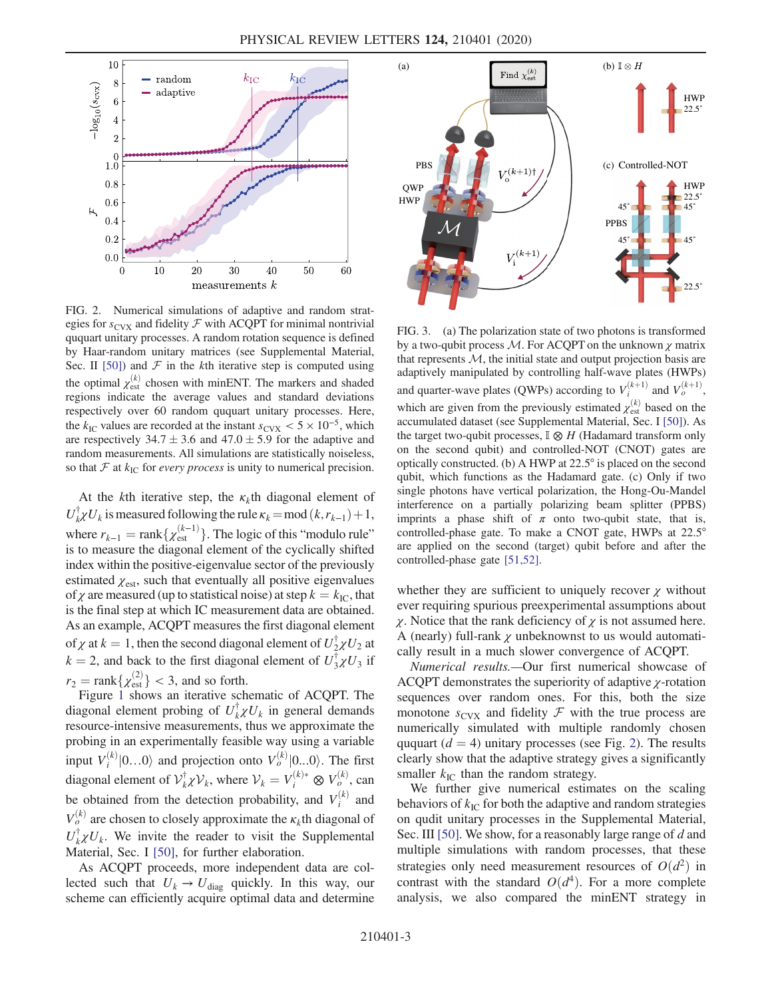<span id="page-2-0"></span>

FIG. 2. Numerical simulations of adaptive and random strategies for  $s_{\text{CVX}}$  and fidelity  $\mathcal F$  with ACQPT for minimal nontrivial ququart unitary processes. A random rotation sequence is defined by Haar-random unitary matrices (see Supplemental Material, Sec. II [\[50\]\)](#page-5-9) and  $F$  in the kth iterative step is computed using the optimal  $\chi_{est}^{(k)}$  chosen with minENT. The markers and shaded regions indicate the average values and standard deviations respectively over 60 random ququart unitary processes. Here, the  $k_{\text{IC}}$  values are recorded at the instant  $s_{\text{CVX}} < 5 \times 10^{-5}$ , which are respectively 34.7  $\pm$  3.6 and 47.0  $\pm$  5.9 for the adaptive and random measurements. All simulations are statistically noiseless, so that  $F$  at  $k_{\text{IC}}$  for *every process* is unity to numerical precision.

At the kth iterative step, the  $\kappa_k$ th diagonal element of  $U_{k}^{\dagger}U_{k}$  is measured following the rule  $\kappa_{k} = \text{mod} (k, r_{k-1}) + 1$ , where  $r_{k-1} = \text{rank}\{\chi_{\text{est}}^{(k-1)}\}\)$ . The logic of this "modulo rule"<br>is to measure the diagonal element of the cyclically shifted is to measure the diagonal element of the cyclically shifted index within the positive-eigenvalue sector of the previously estimated  $\chi_{est}$ , such that eventually all positive eigenvalues of  $\chi$  are measured (up to statistical noise) at step  $k = k_{\text{IC}}$ , that is the final step at which IC measurement data are obtained. As an example, ACQPT measures the first diagonal element of  $\chi$  at  $k = 1$ , then the second diagonal element of  $U_2^{\dagger} \chi U_2$  at  $k = 2$ , and healt to the first diagonal element of  $U_2^{\dagger} \chi U_2$  if  $k = 2$ , and back to the first diagonal element of  $U_3^{\dagger} \chi U_3$  if  $r_2 = \text{rank}\{\chi^{(2)}_{\text{est}}\} < 3$ , and so forth.<br>Figure 1 shows an iterative sch

Figure [1](#page-1-0) shows an iterative schematic of ACQPT. The diagonal element probing of  $U_k^{\dagger} \chi U_k$  in general demands resource-intensive measurements, thus we approximate the probing in an experimentally feasible way using a variable input  $V_i^{(k)}|0...0\rangle$  and projection onto  $V_o^{(k)}|0...0\rangle$ . The first diagonal element of  $V_k^{\dagger} \chi V_k$ , where  $V_k = V_i^{(k)*} \otimes V_o^{(k)}$ , can be obtained from the detection probability, and  $V_i^{(k)}$  and  $V_o^{(k)}$  are chosen to closely approximate the  $\kappa_k$ th diagonal of  $U_k^{\dagger} Z U_k$ . We invite the reader to visit the Supplemental Material, Sec. I [\[50\],](#page-5-9) for further elaboration.

As ACQPT proceeds, more independent data are collected such that  $U_k \rightarrow U_{\text{diag}}$  quickly. In this way, our scheme can efficiently acquire optimal data and determine

<span id="page-2-1"></span>

FIG. 3. (a) The polarization state of two photons is transformed by a two-qubit process  $M$ . For ACQPT on the unknown  $\chi$  matrix that represents  $M$ , the initial state and output projection basis are adaptively manipulated by controlling half-wave plates (HWPs) and quarter-wave plates (QWPs) according to  $V_i^{(k+1)}$  and  $V_o^{(k+1)}$ , which are given from the previously estimated  $\chi_{est}^{(k)}$  based on the accumulated dataset (see Supplemental Material, Sec. I [\[50\]\)](#page-5-9). As the target two-qubit processes,  $\mathbb{I} \otimes H$  (Hadamard transform only on the second qubit) and controlled-NOT (CNOT) gates are optically constructed. (b) A HWP at 22.5° is placed on the second qubit, which functions as the Hadamard gate. (c) Only if two single photons have vertical polarization, the Hong-Ou-Mandel interference on a partially polarizing beam splitter (PPBS) imprints a phase shift of  $\pi$  onto two-qubit state, that is, controlled-phase gate. To make a CNOT gate, HWPs at 22.5° are applied on the second (target) qubit before and after the controlled-phase gate [\[51,52\].](#page-6-0)

whether they are sufficient to uniquely recover  $\chi$  without ever requiring spurious preexperimental assumptions about χ. Notice that the rank deficiency of χ is not assumed here. A (nearly) full-rank  $\chi$  unbeknownst to us would automatically result in a much slower convergence of ACQPT.

Numerical results.—Our first numerical showcase of ACQPT demonstrates the superiority of adaptive χ-rotation sequences over random ones. For this, both the size monotone  $s_{\text{CVX}}$  and fidelity  $\mathcal F$  with the true process are numerically simulated with multiple randomly chosen ququart  $(d = 4)$  unitary processes (see Fig. [2\)](#page-2-0). The results clearly show that the adaptive strategy gives a significantly smaller  $k_{\text{IC}}$  than the random strategy.

We further give numerical estimates on the scaling behaviors of  $k_{\text{IC}}$  for both the adaptive and random strategies on qudit unitary processes in the Supplemental Material, Sec. III [\[50\]](#page-5-9). We show, for a reasonably large range of d and multiple simulations with random processes, that these strategies only need measurement resources of  $O(d^2)$  in contrast with the standard  $O(d^4)$ . For a more complete analysis, we also compared the minENT strategy in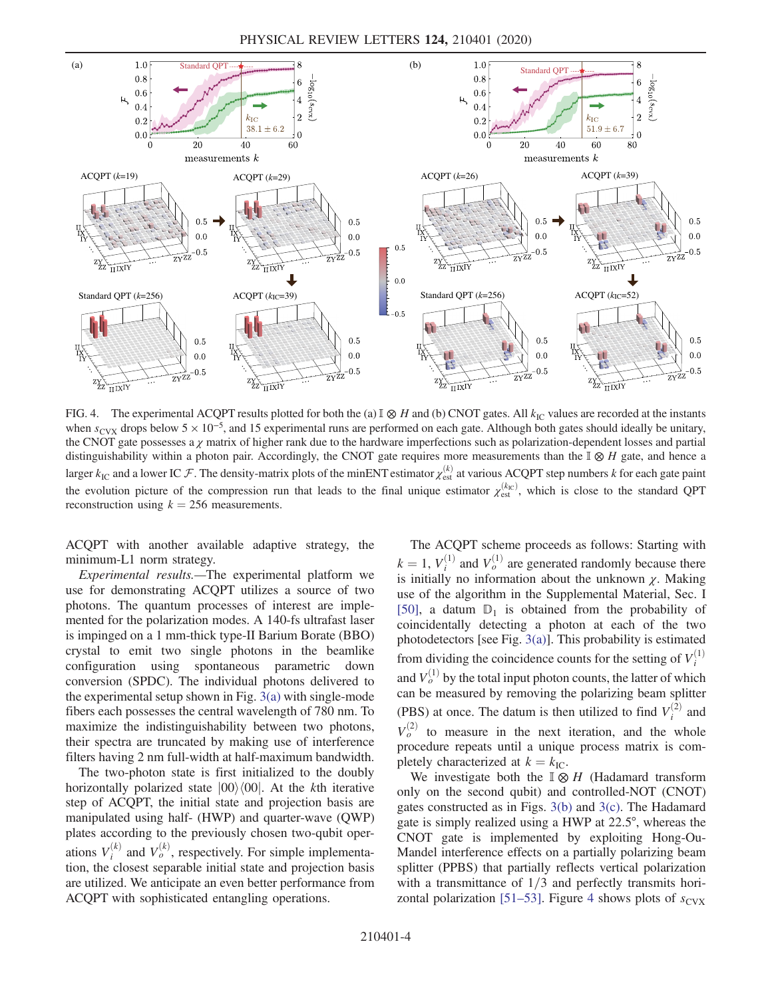PHYSICAL REVIEW LETTERS 124, 210401 (2020)

<span id="page-3-0"></span>

FIG. 4. The experimental ACQPT results plotted for both the (a)  $\mathbb{I} \otimes H$  and (b) CNOT gates. All  $k_{\text{IC}}$  values are recorded at the instants when  $s_{\text{CVX}}$  drops below 5  $\times$  10<sup>-5</sup>, and 15 experimental runs are performed on each gate. Although both gates should ideally be unitary, the CNOT gate possesses a  $\chi$  matrix of higher rank due to the hardware imperfections such as polarization-dependent losses and partial distinguishability within a photon pair. Accordingly, the CNOT gate requires more measurements than the  $\mathbb{I} \otimes H$  gate, and hence a larger  $k_{\text{IC}}$  and a lower IC  $\mathcal F$ . The density-matrix plots of the minENT estimator  $\chi_{\text{est}}^{(k)}$  at various ACQPT step numbers k for each gate paint the evolution picture of the compression run that leads to the final unique estimator  $\chi_{est}^{(k_C)}$ , which is close to the standard QPT reconstruction using  $k = 256$  measurements.

ACQPT with another available adaptive strategy, the minimum-L1 norm strategy.

Experimental results.—The experimental platform we use for demonstrating ACQPT utilizes a source of two photons. The quantum processes of interest are implemented for the polarization modes. A 140-fs ultrafast laser is impinged on a 1 mm-thick type-II Barium Borate (BBO) crystal to emit two single photons in the beamlike configuration using spontaneous parametric down conversion (SPDC). The individual photons delivered to the experimental setup shown in Fig. [3\(a\)](#page-2-1) with single-mode fibers each possesses the central wavelength of 780 nm. To maximize the indistinguishability between two photons, their spectra are truncated by making use of interference filters having 2 nm full-width at half-maximum bandwidth.

The two-photon state is first initialized to the doubly horizontally polarized state  $|00\rangle\langle00|$ . At the kth iterative step of ACQPT, the initial state and projection basis are manipulated using half- (HWP) and quarter-wave (QWP) plates according to the previously chosen two-qubit operations  $V_i^{(k)}$  and  $V_o^{(k)}$ , respectively. For simple implementation, the closest separable initial state and projection basis are utilized. We anticipate an even better performance from ACQPT with sophisticated entangling operations.

The ACQPT scheme proceeds as follows: Starting with  $k = 1$ ,  $V_i^{(1)}$  and  $V_o^{(1)}$  are generated randomly because there is initially no information about the unknown  $\chi$ . Making is initially no information about the unknown  $\chi$ . Making use of the algorithm in the Supplemental Material, Sec. I [\[50\]](#page-5-9), a datum  $D_1$  is obtained from the probability of coincidentally detecting a photon at each of the two photodetectors [see Fig. [3\(a\)](#page-2-1)]. This probability is estimated from dividing the coincidence counts for the setting of  $V_i^{(1)}$ and  $V_o^{(1)}$  by the total input photon counts, the latter of which can be measured by removing the polarizing beam splitter (PBS) at once. The datum is then utilized to find  $V_i^{(2)}$  and  $V_o^{(2)}$  to measure in the next iteration, and the whole procedure repeats until a unique process matrix is completely characterized at  $k = k_{\text{IC}}$ .

We investigate both the  $\mathbb{I} \otimes H$  (Hadamard transform only on the second qubit) and controlled-NOT (CNOT) gates constructed as in Figs. [3\(b\)](#page-2-1) and [3\(c\).](#page-2-1) The Hadamard gate is simply realized using a HWP at 22.5°, whereas the CNOT gate is implemented by exploiting Hong-Ou-Mandel interference effects on a partially polarizing beam splitter (PPBS) that partially reflects vertical polarization with a transmittance of  $1/3$  and perfectly transmits hori-zontal polarization [51–[53\].](#page-6-0) Figure [4](#page-3-0) shows plots of  $s_{\text{CVX}}$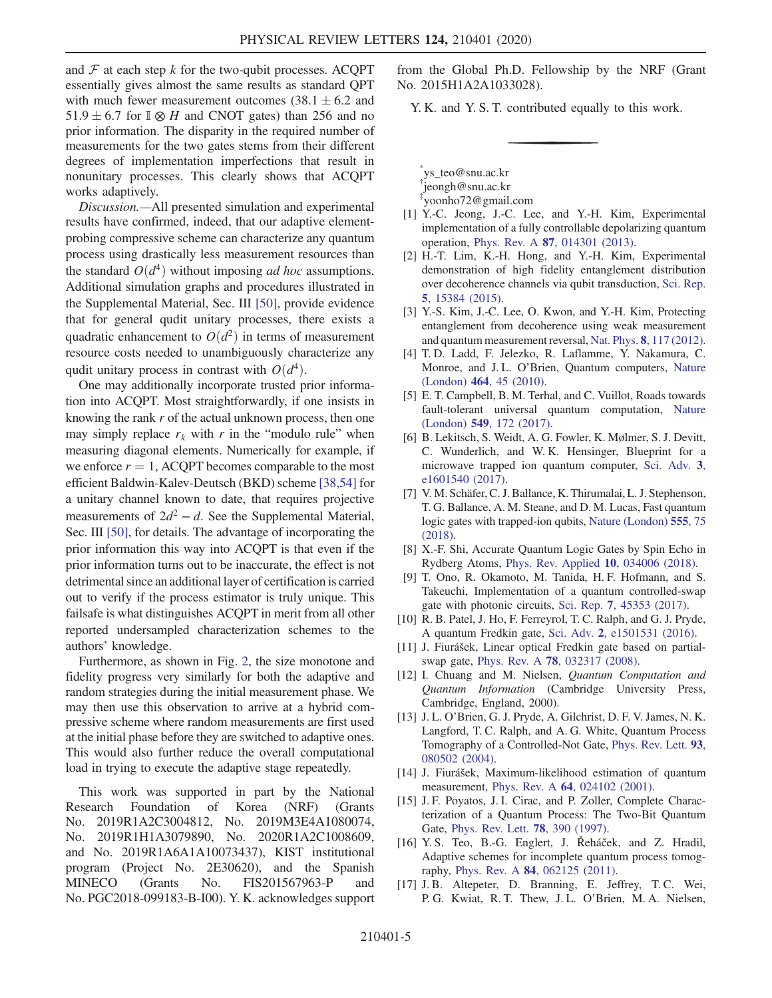and  $\mathcal F$  at each step k for the two-qubit processes. ACQPT essentially gives almost the same results as standard QPT with much fewer measurement outcomes  $(38.1 \pm 6.2$  and 51.9  $\pm$  6.7 for I ⊗ H and CNOT gates) than 256 and no prior information. The disparity in the required number of measurements for the two gates stems from their different degrees of implementation imperfections that result in nonunitary processes. This clearly shows that ACQPT works adaptively.

Discussion.—All presented simulation and experimental results have confirmed, indeed, that our adaptive elementprobing compressive scheme can characterize any quantum process using drastically less measurement resources than the standard  $O(d^4)$  without imposing *ad hoc* assumptions. Additional simulation graphs and procedures illustrated in the Supplemental Material, Sec. III [\[50\],](#page-5-9) provide evidence that for general qudit unitary processes, there exists a quadratic enhancement to  $O(d^2)$  in terms of measurement resource costs needed to unambiguously characterize any qudit unitary process in contrast with  $O(d^4)$ .

One may additionally incorporate trusted prior information into ACQPT. Most straightforwardly, if one insists in knowing the rank r of the actual unknown process, then one may simply replace  $r_k$  with r in the "modulo rule" when measuring diagonal elements. Numerically for example, if we enforce  $r = 1$ , ACQPT becomes comparable to the most efficient Baldwin-Kalev-Deutsch (BKD) scheme [\[38,54\]](#page-5-3) for a unitary channel known to date, that requires projective measurements of  $2d^2 - d$ . See the Supplemental Material, Sec. III [\[50\],](#page-5-9) for details. The advantage of incorporating the prior information this way into ACQPT is that even if the prior information turns out to be inaccurate, the effect is not detrimental since an additional layer of certification is carried out to verify if the process estimator is truly unique. This failsafe is what distinguishes ACQPT in merit from all other reported undersampled characterization schemes to the authors' knowledge.

Furthermore, as shown in Fig. [2](#page-2-0), the size monotone and fidelity progress very similarly for both the adaptive and random strategies during the initial measurement phase. We may then use this observation to arrive at a hybrid compressive scheme where random measurements are first used at the initial phase before they are switched to adaptive ones. This would also further reduce the overall computational load in trying to execute the adaptive stage repeatedly.

This work was supported in part by the National Research Foundation of Korea (NRF) (Grants No. 2019R1A2C3004812, No. 2019M3E4A1080074, No. 2019R1H1A3079890, No. 2020R1A2C1008609, and No. 2019R1A6A1A10073437), KIST institutional program (Project No. 2E30620), and the Spanish MINECO (Grants No. FIS201567963-P and No. PGC2018-099183-B-I00). Y. K. acknowledges support

from the Global Ph.D. Fellowship by the NRF (Grant No. 2015H1A2A1033028).

Y. K. and Y. S. T. contributed equally to this work.

<span id="page-4-2"></span><span id="page-4-1"></span><span id="page-4-0"></span>[\\*](#page-0-0) ys\_teo@snu.ac.kr [†](#page-0-1) jeongh@snu.ac.kr [‡](#page-0-1) yoonho72@gmail.com

- <span id="page-4-4"></span><span id="page-4-3"></span>[1] Y.-C. Jeong, J.-C. Lee, and Y.-H. Kim, Experimental implementation of a fully controllable depolarizing quantum operation, Phys. Rev. A 87[, 014301 \(2013\).](https://doi.org/10.1103/PhysRevA.87.014301)
- [2] H.-T. Lim, K.-H. Hong, and Y.-H. Kim, Experimental demonstration of high fidelity entanglement distribution over decoherence channels via qubit transduction, [Sci. Rep.](https://doi.org/10.1038/srep15384) 5[, 15384 \(2015\)](https://doi.org/10.1038/srep15384).
- <span id="page-4-6"></span><span id="page-4-5"></span>[3] Y.-S. Kim, J.-C. Lee, O. Kwon, and Y.-H. Kim, Protecting entanglement from decoherence using weak measurement and quantum measurement reversal, Nat. Phys. 8[, 117 \(2012\).](https://doi.org/10.1038/nphys2178)
- [4] T. D. Ladd, F. Jelezko, R. Laflamme, Y. Nakamura, C. Monroe, and J. L. O'Brien, Quantum computers, [Nature](https://doi.org/10.1038/nature08812) (London) 464[, 45 \(2010\).](https://doi.org/10.1038/nature08812)
- [5] E. T. Campbell, B. M. Terhal, and C. Vuillot, Roads towards fault-tolerant universal quantum computation, [Nature](https://doi.org/10.1038/nature23460) (London) 549[, 172 \(2017\)](https://doi.org/10.1038/nature23460).
- [6] B. Lekitsch, S. Weidt, A. G. Fowler, K. Mølmer, S. J. Devitt, C. Wunderlich, and W. K. Hensinger, Blueprint for a microwave trapped ion quantum computer, [Sci. Adv.](https://doi.org/10.1126/sciadv.1601540) 3, [e1601540 \(2017\).](https://doi.org/10.1126/sciadv.1601540)
- <span id="page-4-7"></span>[7] V. M. Schäfer, C. J. Ballance, K. Thirumalai, L. J. Stephenson, T. G. Ballance, A. M. Steane, and D. M. Lucas, Fast quantum logic gates with trapped-ion qubits, [Nature \(London\)](https://doi.org/10.1038/nature25737) 555, 75 [\(2018\)](https://doi.org/10.1038/nature25737).
- [8] X.-F. Shi, Accurate Quantum Logic Gates by Spin Echo in Rydberg Atoms, [Phys. Rev. Applied](https://doi.org/10.1103/PhysRevApplied.10.034006) 10, 034006 (2018).
- [9] T. Ono, R. Okamoto, M. Tanida, H. F. Hofmann, and S. Takeuchi, Implementation of a quantum controlled-swap gate with photonic circuits, Sci. Rep. 7[, 45353 \(2017\).](https://doi.org/10.1038/srep45353)
- [10] R. B. Patel, J. Ho, F. Ferreyrol, T. C. Ralph, and G. J. Pryde, A quantum Fredkin gate, Sci. Adv. 2[, e1501531 \(2016\).](https://doi.org/10.1126/sciadv.1501531)
- <span id="page-4-8"></span>[11] J. Fiurášek, Linear optical Fredkin gate based on partialswap gate, Phys. Rev. A 78[, 032317 \(2008\).](https://doi.org/10.1103/PhysRevA.78.032317)
- [12] I. Chuang and M. Nielsen, *Quantum Computation and* Quantum Information (Cambridge University Press, Cambridge, England, 2000).
- [13] J. L. O'Brien, G. J. Pryde, A. Gilchrist, D. F. V. James, N. K. Langford, T. C. Ralph, and A. G. White, Quantum Process Tomography of a Controlled-Not Gate, [Phys. Rev. Lett.](https://doi.org/10.1103/PhysRevLett.93.080502) 93, [080502 \(2004\).](https://doi.org/10.1103/PhysRevLett.93.080502)
- [14] J. Fiurášek, Maximum-likelihood estimation of quantum measurement, Phys. Rev. A **64**[, 024102 \(2001\)](https://doi.org/10.1103/PhysRevA.64.024102).
- [15] J. F. Poyatos, J. I. Cirac, and P. Zoller, Complete Characterization of a Quantum Process: The Two-Bit Quantum Gate, [Phys. Rev. Lett.](https://doi.org/10.1103/PhysRevLett.78.390) 78, 390 (1997).
- <span id="page-4-9"></span>[16] Y.S. Teo, B.-G. Englert, J. Řeháček, and Z. Hradil, Adaptive schemes for incomplete quantum process tomography, Phys. Rev. A 84[, 062125 \(2011\)](https://doi.org/10.1103/PhysRevA.84.062125).
- [17] J. B. Altepeter, D. Branning, E. Jeffrey, T. C. Wei, P. G. Kwiat, R. T. Thew, J. L. O'Brien, M. A. Nielsen,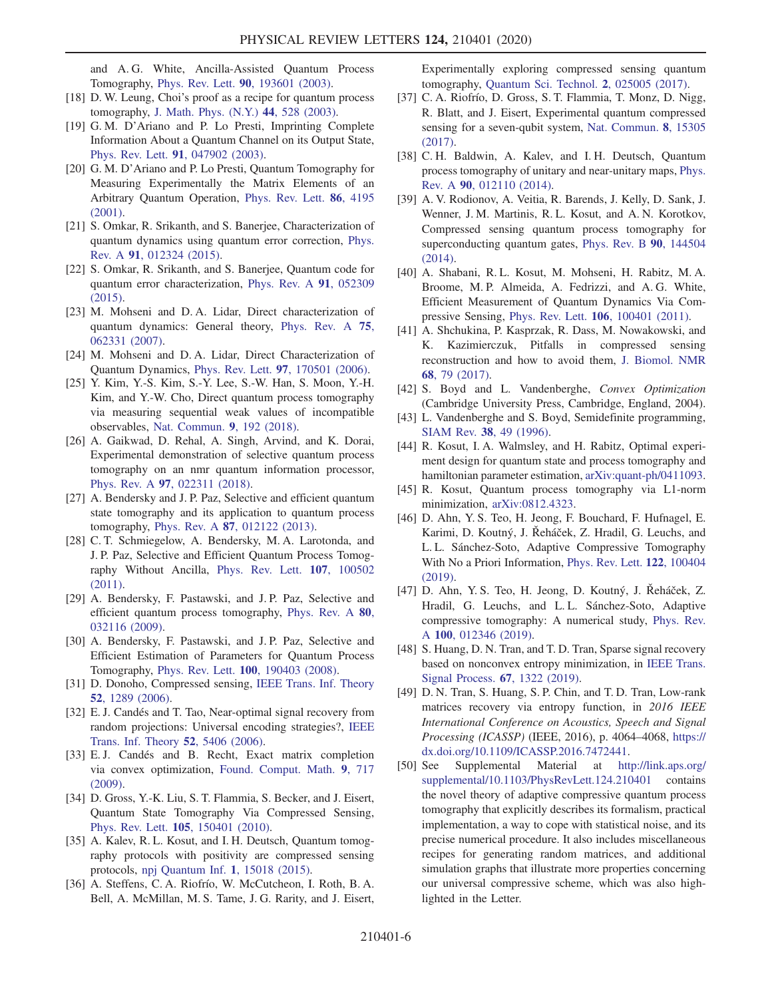and A. G. White, Ancilla-Assisted Quantum Process Tomography, Phys. Rev. Lett. 90[, 193601 \(2003\)](https://doi.org/10.1103/PhysRevLett.90.193601).

- [18] D. W. Leung, Choi's proof as a recipe for quantum process tomography, [J. Math. Phys. \(N.Y.\)](https://doi.org/10.1063/1.1518554) 44, 528 (2003).
- [19] G. M. D'Ariano and P. Lo Presti, Imprinting Complete Information About a Quantum Channel on its Output State, Phys. Rev. Lett. 91[, 047902 \(2003\)](https://doi.org/10.1103/PhysRevLett.91.047902).
- [20] G. M. D'Ariano and P. Lo Presti, Quantum Tomography for Measuring Experimentally the Matrix Elements of an Arbitrary Quantum Operation, [Phys. Rev. Lett.](https://doi.org/10.1103/PhysRevLett.86.4195) 86, 4195  $(2001)$ .
- <span id="page-5-0"></span>[21] S. Omkar, R. Srikanth, and S. Banerjee, Characterization of quantum dynamics using quantum error correction, [Phys.](https://doi.org/10.1103/PhysRevA.91.012324) Rev. A 91[, 012324 \(2015\)](https://doi.org/10.1103/PhysRevA.91.012324).
- [22] S. Omkar, R. Srikanth, and S. Banerjee, Quantum code for quantum error characterization, [Phys. Rev. A](https://doi.org/10.1103/PhysRevA.91.052309) 91, 052309 [\(2015\).](https://doi.org/10.1103/PhysRevA.91.052309)
- [23] M. Mohseni and D.A. Lidar, Direct characterization of quantum dynamics: General theory, [Phys. Rev. A](https://doi.org/10.1103/PhysRevA.75.062331) 75, [062331 \(2007\).](https://doi.org/10.1103/PhysRevA.75.062331)
- <span id="page-5-1"></span>[24] M. Mohseni and D. A. Lidar, Direct Characterization of Quantum Dynamics, Phys. Rev. Lett. 97[, 170501 \(2006\).](https://doi.org/10.1103/PhysRevLett.97.170501)
- [25] Y. Kim, Y.-S. Kim, S.-Y. Lee, S.-W. Han, S. Moon, Y.-H. Kim, and Y.-W. Cho, Direct quantum process tomography via measuring sequential weak values of incompatible observables, [Nat. Commun.](https://doi.org/10.1038/s41467-017-02511-2) 9, 192 (2018).
- [26] A. Gaikwad, D. Rehal, A. Singh, Arvind, and K. Dorai, Experimental demonstration of selective quantum process tomography on an nmr quantum information processor, Phys. Rev. A 97[, 022311 \(2018\)](https://doi.org/10.1103/PhysRevA.97.022311).
- [27] A. Bendersky and J. P. Paz, Selective and efficient quantum state tomography and its application to quantum process tomography, Phys. Rev. A 87[, 012122 \(2013\)](https://doi.org/10.1103/PhysRevA.87.012122).
- [28] C. T. Schmiegelow, A. Bendersky, M. A. Larotonda, and J. P. Paz, Selective and Efficient Quantum Process Tomography Without Ancilla, [Phys. Rev. Lett.](https://doi.org/10.1103/PhysRevLett.107.100502) 107, 100502 [\(2011\).](https://doi.org/10.1103/PhysRevLett.107.100502)
- [29] A. Bendersky, F. Pastawski, and J. P. Paz, Selective and efficient quantum process tomography, [Phys. Rev. A](https://doi.org/10.1103/PhysRevA.80.032116) 80, [032116 \(2009\).](https://doi.org/10.1103/PhysRevA.80.032116)
- <span id="page-5-2"></span>[30] A. Bendersky, F. Pastawski, and J. P. Paz, Selective and Efficient Estimation of Parameters for Quantum Process Tomography, Phys. Rev. Lett. 100[, 190403 \(2008\)](https://doi.org/10.1103/PhysRevLett.100.190403).
- [31] D. Donoho, Compressed sensing, [IEEE Trans. Inf. Theory](https://doi.org/10.1109/TIT.2006.871582) 52[, 1289 \(2006\)](https://doi.org/10.1109/TIT.2006.871582).
- [32] E. J. Candés and T. Tao, Near-optimal signal recovery from random projections: Universal encoding strategies?, [IEEE](https://doi.org/10.1109/TIT.2006.885507) [Trans. Inf. Theory](https://doi.org/10.1109/TIT.2006.885507) 52, 5406 (2006).
- [33] E.J. Candés and B. Recht, Exact matrix completion via convex optimization, [Found. Comput. Math.](https://doi.org/10.1007/s10208-009-9045-5) 9, 717 [\(2009\).](https://doi.org/10.1007/s10208-009-9045-5)
- [34] D. Gross, Y.-K. Liu, S. T. Flammia, S. Becker, and J. Eisert, Quantum State Tomography Via Compressed Sensing, Phys. Rev. Lett. 105[, 150401 \(2010\).](https://doi.org/10.1103/PhysRevLett.105.150401)
- [35] A. Kalev, R. L. Kosut, and I. H. Deutsch, Quantum tomography protocols with positivity are compressed sensing protocols, [npj Quantum Inf.](https://doi.org/10.1038/npjqi.2015.18) 1, 15018 (2015).
- [36] A. Steffens, C. A. Riofrío, W. McCutcheon, I. Roth, B. A. Bell, A. McMillan, M. S. Tame, J. G. Rarity, and J. Eisert,

Experimentally exploring compressed sensing quantum tomography, [Quantum Sci. Technol.](https://doi.org/10.1088/2058-9565/aa6ae2) 2, 025005 (2017).

- [37] C. A. Riofrío, D. Gross, S. T. Flammia, T. Monz, D. Nigg, R. Blatt, and J. Eisert, Experimental quantum compressed sensing for a seven-qubit system, [Nat. Commun.](https://doi.org/10.1038/ncomms15305) 8, 15305 [\(2017\).](https://doi.org/10.1038/ncomms15305)
- <span id="page-5-3"></span>[38] C. H. Baldwin, A. Kalev, and I. H. Deutsch, Quantum process tomography of unitary and near-unitary maps, [Phys.](https://doi.org/10.1103/PhysRevA.90.012110) Rev. A 90[, 012110 \(2014\)](https://doi.org/10.1103/PhysRevA.90.012110).
- <span id="page-5-4"></span>[39] A. V. Rodionov, A. Veitia, R. Barends, J. Kelly, D. Sank, J. Wenner, J. M. Martinis, R. L. Kosut, and A. N. Korotkov, Compressed sensing quantum process tomography for superconducting quantum gates, [Phys. Rev. B](https://doi.org/10.1103/PhysRevB.90.144504) 90, 144504 [\(2014\).](https://doi.org/10.1103/PhysRevB.90.144504)
- [40] A. Shabani, R. L. Kosut, M. Mohseni, H. Rabitz, M. A. Broome, M. P. Almeida, A. Fedrizzi, and A. G. White, Efficient Measurement of Quantum Dynamics Via Compressive Sensing, Phys. Rev. Lett. 106[, 100401 \(2011\)](https://doi.org/10.1103/PhysRevLett.106.100401).
- <span id="page-5-5"></span>[41] A. Shchukina, P. Kasprzak, R. Dass, M. Nowakowski, and K. Kazimierczuk, Pitfalls in compressed sensing reconstruction and how to avoid them, [J. Biomol. NMR](https://doi.org/10.1007/s10858-016-0068-3) 68[, 79 \(2017\).](https://doi.org/10.1007/s10858-016-0068-3)
- <span id="page-5-6"></span>[42] S. Boyd and L. Vandenberghe, Convex Optimization (Cambridge University Press, Cambridge, England, 2004).
- <span id="page-5-7"></span>[43] L. Vandenberghe and S. Boyd, Semidefinite programming, SIAM Rev. 38[, 49 \(1996\)](https://doi.org/10.1137/1038003).
- [44] R. Kosut, I. A. Walmsley, and H. Rabitz, Optimal experiment design for quantum state and process tomography and hamiltonian parameter estimation, [arXiv:quant-ph/0411093.](https://arXiv.org/abs/quant-ph/0411093)
- <span id="page-5-8"></span>[45] R. Kosut, Quantum process tomography via L1-norm minimization, [arXiv:0812.4323.](https://arXiv.org/abs/0812.4323)
- [46] D. Ahn, Y. S. Teo, H. Jeong, F. Bouchard, F. Hufnagel, E. Karimi, D. Koutný, J. Řeháček, Z. Hradil, G. Leuchs, and L. L. Sánchez-Soto, Adaptive Compressive Tomography With No a Priori Information, [Phys. Rev. Lett.](https://doi.org/10.1103/PhysRevLett.122.100404) 122, 100404 [\(2019\).](https://doi.org/10.1103/PhysRevLett.122.100404)
- [47] D. Ahn, Y. S. Teo, H. Jeong, D. Koutný, J. Řeháček, Z. Hradil, G. Leuchs, and L. L. Sánchez-Soto, Adaptive compressive tomography: A numerical study, [Phys. Rev.](https://doi.org/10.1103/PhysRevA.100.012346) A 100[, 012346 \(2019\).](https://doi.org/10.1103/PhysRevA.100.012346)
- [48] S. Huang, D. N. Tran, and T. D. Tran, Sparse signal recovery based on nonconvex entropy minimization, in [IEEE Trans.](https://doi.org/10.1109/TSP.2018.2889951) [Signal Process.](https://doi.org/10.1109/TSP.2018.2889951) 67, 1322 (2019).
- [49] D. N. Tran, S. Huang, S. P. Chin, and T. D. Tran, Low-rank matrices recovery via entropy function, in 2016 IEEE International Conference on Acoustics, Speech and Signal Processing (ICASSP) (IEEE, 2016), p. 4064–4068, [https://](https://dx.doi.org/10.1109/ICASSP.2016.7472441) [dx.doi.org/10.1109/ICASSP.2016.7472441.](https://dx.doi.org/10.1109/ICASSP.2016.7472441)
- <span id="page-5-9"></span>[50] See Supplemental Material at [http://link.aps.org/](http://link.aps.org/supplemental/10.1103/PhysRevLett.124.210401) [supplemental/10.1103/PhysRevLett.124.210401](http://link.aps.org/supplemental/10.1103/PhysRevLett.124.210401) contains the novel theory of adaptive compressive quantum process tomography that explicitly describes its formalism, practical implementation, a way to cope with statistical noise, and its precise numerical procedure. It also includes miscellaneous recipes for generating random matrices, and additional simulation graphs that illustrate more properties concerning our universal compressive scheme, which was also highlighted in the Letter.